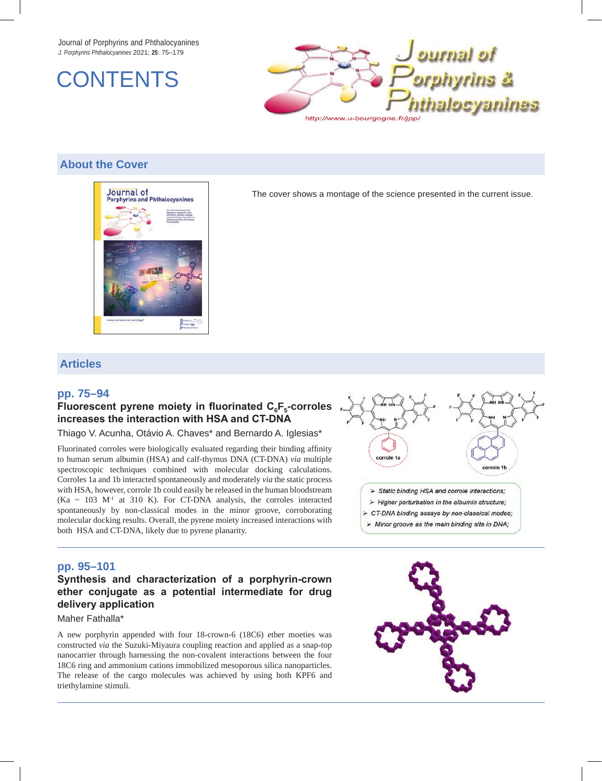Journal of Porphyrins and Phthalocyanines *J. Porphyrins Phthalocyanines* 2021; **25**: 75–179





## **About the Cover**



The cover shows a montage of the science presented in the current issue.

## **Articles**

### **pp. 75–94**

### Fluorescent pyrene moiety in fluorinated C<sub>6</sub>F<sub>5</sub>-corroles **increases the interaction with HSA and CT-DNA**

Thiago V. Acunha, Otávio A. Chaves\* and Bernardo A. Iglesias\*

Fluorinated corroles were biologically evaluated regarding their binding affinity to human serum albumin (HSA) and calf-thymus DNA (CT-DNA) *via* multiple spectroscopic techniques combined with molecular docking calculations. Corroles 1a and 1b interacted spontaneously and moderately *via* the static process with HSA, however, corrole 1b could easily be released in the human bloodstream  $(Ka \sim 103 \text{ M}^3$  at 310 K). For CT-DNA analysis, the corroles interacted spontaneously by non-classical modes in the minor groove, corroborating molecular docking results. Overall, the pyrene moiety increased interactions with both HSA and CT-DNA, likely due to pyrene planarity.



### **pp. 95–101**

## **Synthesis and characterization of a porphyrin-crown ether conjugate as a potential intermediate for drug delivery application**

#### Maher Fathalla\*

A new porphyrin appended with four 18-crown-6 (18C6) ether moeties was constructed *via* the Suzuki-Miyaura coupling reaction and applied as a snap-top nanocarrier through harnessing the non-covalent interactions between the four 18C6 ring and ammonium cations immobilized mesoporous silica nanoparticles. The release of the cargo molecules was achieved by using both KPF6 and triethylamine stimuli.

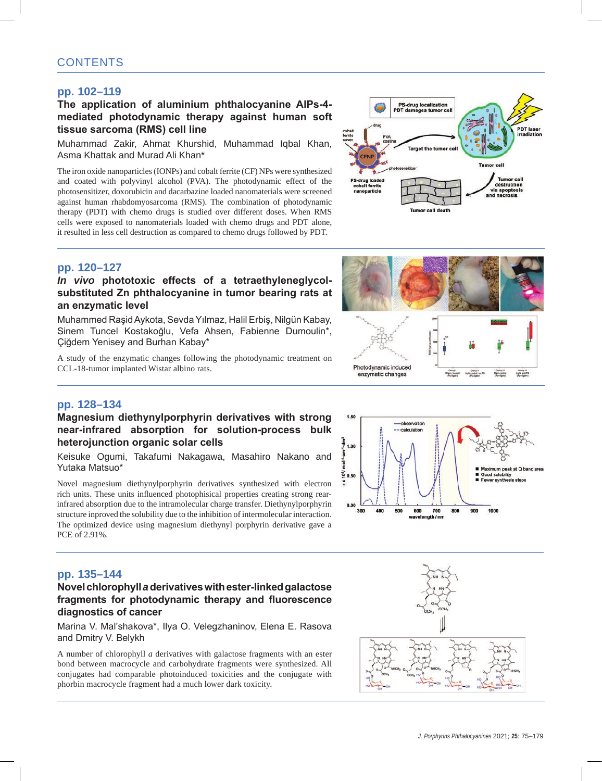## **pp. 102–119**

## **The application of aluminium phthalocyanine AlPs-4 mediated photodynamic therapy against human soft tissue sarcoma (RMS) cell line**

Muhammad Zakir, Ahmat Khurshid, Muhammad Iqbal Khan, Asma Khattak and Murad Ali Khan\*

The iron oxide nanoparticles (IONPs) and cobalt ferrite (CF) NPs were synthesized and coated with polyvinyl alcohol (PVA). The photodynamic effect of the photosensitizer, doxorubicin and dacarbazine loaded nanomaterials were screened against human rhabdomyosarcoma (RMS). The combination of photodynamic therapy (PDT) with chemo drugs is studied over different doses. When RMS cells were exposed to nanomaterials loaded with chemo drugs and PDT alone, it resulted in less cell destruction as compared to chemo drugs followed by PDT.



### **pp. 120–127**

## *In vivo* **phototoxic effects of a tetraethyleneglycolsubstituted Zn phthalocyanine in tumor bearing rats at an enzymatic level**

Muhammed Raşid Aykota, Sevda Yılmaz, Halil Erbiş, Nilgün Kabay, Sinem Tuncel Kostakoğlu, Vefa Ahsen, Fabienne Dumoulin\*, Çiğdem Yenisey and Burhan Kabay\*

A study of the enzymatic changes following the photodynamic treatment on CCL-18-tumor implanted Wistar albino rats.



## **pp. 128–134**

### **Magnesium diethynylporphyrin derivatives with strong near-infrared absorption for solution-process bulk heterojunction organic solar cells**

Keisuke Ogumi, Takafumi Nakagawa, Masahiro Nakano and Yutaka Matsuo\*

Novel magnesium diethynylporphyrin derivatives synthesized with electron rich units. These units influenced photophisical properties creating strong rearinfrared absorption due to the intramolecular charge transfer. Diethynylporphyrin structure inproved the solubility due to the inhibition of intermolecular interaction. The optimized device using magnesium diethynyl porphyrin derivative gave a PCE of 2.91%.





### **Novel chlorophyll** *a* **derivatives with ester-linked galactose fragments for photodynamic therapy and fluorescence diagnostics of cancer**

Marina V. Mal'shakova\*, Ilya O. Velegzhaninov, Elena E. Rasova and Dmitry V. Belykh

A number of chlorophyll *a* derivatives with galactose fragments with an ester bond between macrocycle and carbohydrate fragments were synthesized. All conjugates had comparable photoinduced toxicities and the conjugate with phorbin macrocycle fragment had a much lower dark toxicity.



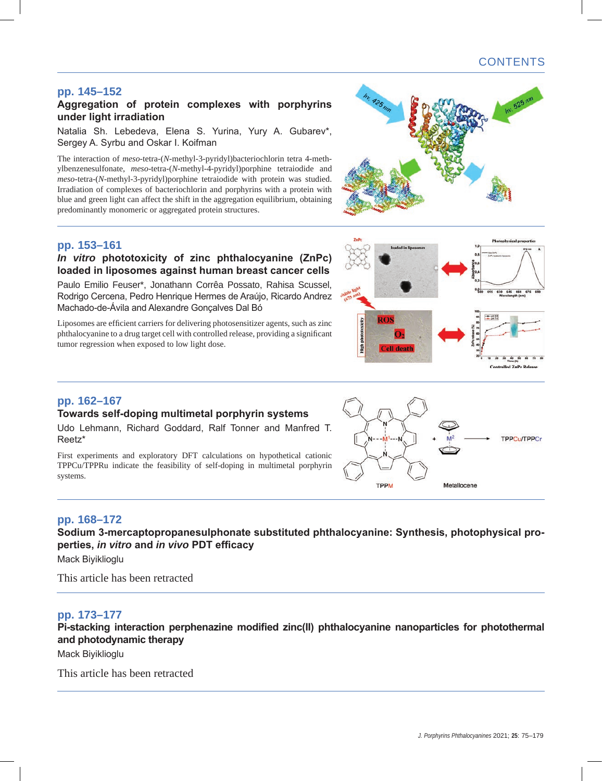# CONTENTS

615 630 645 660 675

30 40 50 60 **Controlled ZnPc Releas** 

## **pp. 145–152**

### **Aggregation of protein complexes with porphyrins under light irradiation**

Natalia Sh. Lebedeva, Elena S. Yurina, Yury A. Gubarev\*, Sergey A. Syrbu and Oskar I. Koifman

The interaction of *meso*-tetra-(*N*-methyl-3-pyridyl)bacteriochlorin tetra 4-methylbenzenesulfonate, *meso*-tetra-(*N*-methyl-4-pyridyl)porphine tetraiodide and *meso*-tetra-(*N*-methyl-3-pyridyl)porphine tetraiodide with protein was studied. Irradiation of complexes of bacteriochlorin and porphyrins with a protein with blue and green light can affect the shift in the aggregation equilibrium, obtaining predominantly monomeric or aggregated protein structures.

### **pp. 153–161**

## *In vitro* **phototoxicity of zinc phthalocyanine (ZnPc) loaded in liposomes against human breast cancer cells**

Paulo Emilio Feuser\*, Jonathann Corrêa Possato, Rahisa Scussel, Rodrigo Cercena, Pedro Henrique Hermes de Araújo, Ricardo Andrez Machado-de-Ávila and Alexandre Gonçalves Dal Bó

Liposomes are efficient carriers for delivering photosensitizer agents, such as zinc phthalocyanine to a drug target cell with controlled release, providing a significant tumor regression when exposed to low light dose.





ROS

**Cell death** 

nhototoxicity

## **pp. 162–167**

## **Towards self-doping multimetal porphyrin systems**

Udo Lehmann, Richard Goddard, Ralf Tonner and Manfred T. Reetz\*

First experiments and exploratory DFT calculations on hypothetical cationic TPPCu/TPPRu indicate the feasibility of self-doping in multimetal porphyrin systems.

## **pp. 168–172**

**Sodium 3-mercaptopropanesulphonate substituted phthalocyanine: Synthesis, photophysical properties,** *in vitro* **and** *in vivo* **PDT efficacy**

Mack Biyiklioglu

This article has been retracted

### **pp. 173–177**

**Pi-stacking interaction perphenazine modified zinc(II) phthalocyanine nanoparticles for photothermal and photodynamic therapy**

Mack Biyiklioglu

This article has been retracted